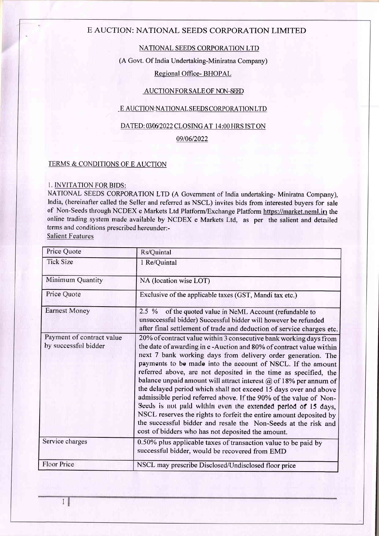## E AUCTION: NATIONAL SEEDS CORPORATION LIMITED

## NATIONAL SEEDS CORPORATION LTD

(A Govt. Of India Undertaking-Miniratna Company)

## Regional Office- BHOPAL

## AUCTION FOR SALE OF NON-SEED

### <u>E AUCTION:NATIONAL SEEDS CORPORATION LTD</u>

## DATED: 03/06/2022 CLOSING AT 14:00 HRS ISTON

## 09/06/2022

## TERMS & CONDITIONS OF E AUCTION

### L. INVITATION FORBIDS:

NATIONAL SEEDS CORPORATION LTD (A Govemment of India undertaking- Miniratna Company), India, (hereinafter called the Seller and referred as NSCL) invites bids from interested buyers for sale of Non-Seeds through NCDEX e Markets Ltd Platform/Exchange Platform https://market.neml.in the online trading system made available by NCDEX e Markets Ltd, as per the salient and detailed terms and conditions prescribed hereunder:-

Salient Features

| Price Quote                                       | Rs/Quintal                                                                                                                                                                                                                                                                                                                                                                                                                                                                                                                                                                                                                                                                                                                                                                                                                   |  |  |
|---------------------------------------------------|------------------------------------------------------------------------------------------------------------------------------------------------------------------------------------------------------------------------------------------------------------------------------------------------------------------------------------------------------------------------------------------------------------------------------------------------------------------------------------------------------------------------------------------------------------------------------------------------------------------------------------------------------------------------------------------------------------------------------------------------------------------------------------------------------------------------------|--|--|
| <b>Tick Size</b>                                  | 1 Re/Quintal                                                                                                                                                                                                                                                                                                                                                                                                                                                                                                                                                                                                                                                                                                                                                                                                                 |  |  |
| Minimum Quantity                                  | NA (location wise LOT)                                                                                                                                                                                                                                                                                                                                                                                                                                                                                                                                                                                                                                                                                                                                                                                                       |  |  |
| Price Quote                                       | Exclusive of the applicable taxes (GST, Mandi tax etc.)                                                                                                                                                                                                                                                                                                                                                                                                                                                                                                                                                                                                                                                                                                                                                                      |  |  |
| <b>Earnest Money</b>                              | 2.5 % of the quoted value in NeML Account (refundable to<br>unsuccessful bidder) Successful bidder will however be refunded<br>after final settlement of trade and deduction of service charges etc.                                                                                                                                                                                                                                                                                                                                                                                                                                                                                                                                                                                                                         |  |  |
| Payment of contract value<br>by successful bidder | 20% of contract value within 3 consecutive bank working days from<br>the date of awarding in e-Auction and 80% of contract value within<br>next 7 bank working days from delivery order generation. The<br>payments to be made into the account of NSCL. If the amount<br>referred above, are not deposited in the time as specified, the<br>balance unpaid amount will attract interest $\omega$ of 18% per annum of<br>the delayed period which shall not exceed 15 days over and above<br>admissible period referred above. If the 90% of the value of Non-<br>Seeds is not paid within even the extended period of 15 days,<br>NSCL reserves the rights to forfeit the entire amount deposited by<br>the successful bidder and resale the Non-Seeds at the risk and<br>cost of bidders who has not deposited the amount. |  |  |
| Service charges                                   | 0.50% plus applicable taxes of transaction value to be paid by<br>successful bidder, would be recovered from EMD                                                                                                                                                                                                                                                                                                                                                                                                                                                                                                                                                                                                                                                                                                             |  |  |
| Floor Price                                       | NSCL may prescribe Disclosed/Undisclosed floor price                                                                                                                                                                                                                                                                                                                                                                                                                                                                                                                                                                                                                                                                                                                                                                         |  |  |

 $\mathbf{1}$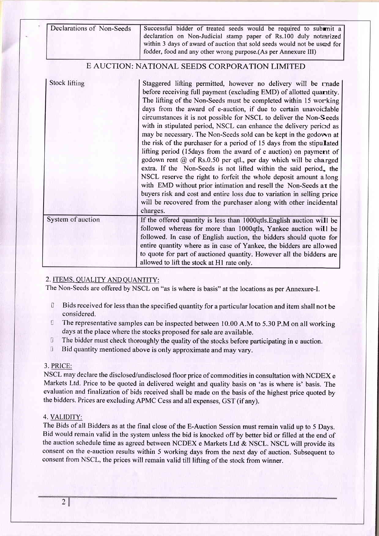| Declarations of Non-Seeds | Successful bidder of treated seeds would be required to submit a<br>declaration on Non-Judicial stamp paper of Rs.100 duly notarized<br>within 3 days of award of auction that sold seeds would not be used for<br>fodder, food and any other wrong purpose.(As per Annexure III)                                                                                                                                                                                                                                                                                                                                                                                                                                                                                                                                                                                                                                                                                                                                                                                                        |
|---------------------------|------------------------------------------------------------------------------------------------------------------------------------------------------------------------------------------------------------------------------------------------------------------------------------------------------------------------------------------------------------------------------------------------------------------------------------------------------------------------------------------------------------------------------------------------------------------------------------------------------------------------------------------------------------------------------------------------------------------------------------------------------------------------------------------------------------------------------------------------------------------------------------------------------------------------------------------------------------------------------------------------------------------------------------------------------------------------------------------|
|                           | E AUCTION: NATIONAL SEEDS CORPORATION LIMITED                                                                                                                                                                                                                                                                                                                                                                                                                                                                                                                                                                                                                                                                                                                                                                                                                                                                                                                                                                                                                                            |
| <b>Stock lifting</b>      | Staggered lifting permitted, however no delivery will be made<br>before receiving full payment (excluding EMD) of allotted quaritity.<br>The lifting of the Non-Seeds must be completed within 15 working<br>days from the award of e-auction, if due to certain unavoidable<br>circumstances it is not possible for NSCL to deliver the Non-Seeds<br>with in stipulated period, NSCL can enhance the delivery period as<br>may be necessary. The Non-Seeds sold can be kept in the godown at<br>the risk of the purchaser for a period of 15 days from the stipulated<br>lifting period (15days from the award of e auction) on payment of<br>godown rent @ of Rs.0.50 per qtl., per day which will be charged<br>extra. If the Non-Seeds is not lifted within the said period, the<br>NSCL reserve the right to forfeit the whole deposit amount a long<br>with EMD without prior intimation and resell the Non-Seeds at the<br>buyers risk and cost and entire loss due to variation in selling price<br>will be recovered from the purchaser along with other incidental<br>charges. |
| System of auction         | If the offered quantity is less than 1000qtls. English auction will be<br>followed whereas for more than 1000qtls, Yankee auction will be<br>followed. In case of English auction, the bidders should quote for<br>entire quantity where as in case of Yankee, the bidders are allowed<br>to quote for part of auctioned quantity. However all the bidders are<br>allowed to lift the stock at H1 rate only.                                                                                                                                                                                                                                                                                                                                                                                                                                                                                                                                                                                                                                                                             |

## 2. ITEMS. OUALITY AND OUANTITY:

The Non-Seeds are offered by NSCL on "as is where is basis" at the locations as per Annexure-I.

- U Bids received for less than the specified quantity for a particular location and item shall not be considered.
- <sup>0</sup> The representative samples can be inspected between 10.00 A.M to 5.30 P.M on all working days at the place where the stocks proposed for sale are available.
- ! The bidder must check thoroughly the quality of the stocks before participating in e auction.
- **Bid quantity mentioned above is only approximate and may vary.**

### 3. PRICE:

NSCL may declare the disclosed/undisclosed floor price of commodities in consultation with NCDEX <sup>e</sup> Markets Ltd. Price to be quoted in delivered weight and quality basis on 'as is where is' basis. The evaluation and finalization of bids received shall be made on the basis of the highest price quoted by the bidders. Prices are excluding APMC Cess and all expenses, GST (if any).

### 4. VALIDITY:

The Bids of all Bidders as at the final close of the E-Auction Session must remain valid up to 5 Days. Bid would remain valid in the system unless the bid is knocked off by better bid or filled at the end of the auction schedule time as agreed between NCDEX e Markets Ltd & NSCL. NSCL will provide its consent on the e-auction results within 5 working days from the next day of auction. Subsequent to consent from NSCL, the prices will remain valid till lifting of the stock from winner.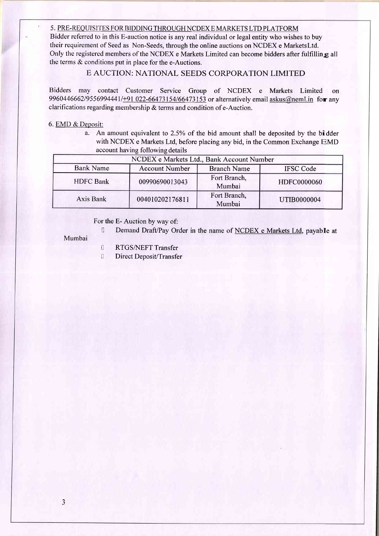### 5. PRE-REQUISITES FOR BIDDING THROUGH NCDEX E MARKETS LTD PLATFORM

Bidder referred to in this E-auction notice is any real individual or legal entity who wishes to buy their requirement of Seed as Non-Seeds, through the online auctions on NCDEX e Marketsltd. Only the registered members of the NCDEX e Markets Limited can become bidders after fulfilling all the terms & conditions put in place for the e-Auctions.

## E AUCTION: NATIONAL SEEDS CORPORATION LIMITED

Bidders may contact Customer Service Group of NCDEX e Markets Limited on 9960446662/9556994441/+91 022-66473154/66473153 or alternatively email askus@neml.in for any clarifications regarding membership & terms and condition of e-Auction.

### 6. EMD & Deposit:

a. An amount equivalent to 2.5% of the bid amount shall be deposited by the bidder with NCDEX e Markets Ltd, before placing any bid, in the Common Exchange EMD account having following details

| NCDEX e Markets Ltd., Bank Account Number |                       |                        |                    |
|-------------------------------------------|-----------------------|------------------------|--------------------|
| <b>Bank Name</b>                          | <b>Account Number</b> | <b>Branch Name</b>     | <b>IFSC</b> Code   |
| <b>HDFC</b> Bank                          | 00990690013043        | Fort Branch,<br>Mumbai | HDFC0000060        |
| Axis Bank                                 | 004010202176811       | Fort Branch,<br>Mumbai | <b>UTIB0000004</b> |

For the E- Auction by way of:

Demand Draft/Pay Order in the name of NCDEX e Markets Ltd, payable at

#### Mumbai

- **I** RTGS/NEFT Transfer
- I Direct Deposit/Transfer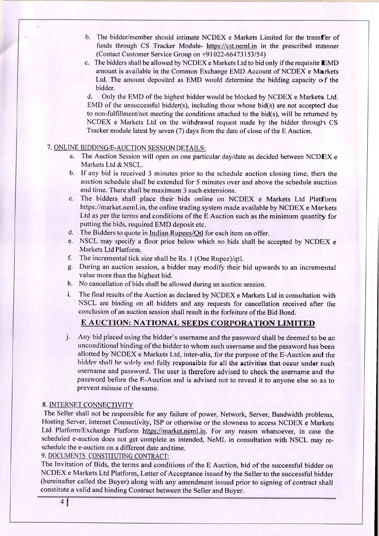- b. The bidder/member should intimate NCDEX e Markets Limited for the transfer of funds through CS Tracker Module- https://cst.neml.in in the prescribed manner (Contact Customer Service Group on \*91 022-66473153154)
- c. The bidders shall be allowed by NCDEX e Markets Ltd to bid only if the requisite EMD amount is available in the Common Exchange EMD Account of NCDEX e Markets Ltd. The amount deposited as EMD would determine the bidding capacity o f the bidder.

d. Only the EMD of the highest bidder would be blocked by NCDEX e Markets Ltd. EMD of the unsuccessful bidder(s), including those whose bid(s) are not accepted due to non-fulfillment/not meeting the conditions attached to the bid(s), will be retumed by NCDEX e Markets Ltd on the withdrawal request made by the bidder through CS Tracker module latest by seven (7) days from the date of close of the E Auction.

## 7. ONLINE BIDDING/E-AUCTION SESSION DETAILS:

- a. The Auction Session will open on one particular dayldate as decided between NCDEX <sup>e</sup> Markets Ltd & NSCL.
- b. If any bid is received 3 minutes prior to the schedule auction closing time, then the auction schedule shall be extended for 5 minutes over and above the schedule auction end time. There shall be maximum 3 such extensions.
- The bidders shall place their bids online on NCDEX e Markets Ltd Platform https://market.neml.in, the online trading system made available by NCDEX e Markets Ltd as per the terms and conditions of the E Auction such as the minimum quantity for putting the bids, required EMD deposit etc.
- d. The Bidders to quote in Indian Rupees/Otl for each item on offer.
- e. NSCL may specify a floor price below which no bids shall be accepted by NCDEX <sup>e</sup> Markets Ltd Platform.
- f. The incremental tick size shall be Rs. I (One Rupee)/qtl.
- g. During an auction session, a bidder may modify their bid upwards to an incremental value more than the highest bid.
- h. No cancellation of bids shall be allowed during an auction session.
- i. The final results of the Auction as declared by NCDEX e Markets Ltd in consultation with NSCL are binding on all bidders and any requests for cancellation received after the conclusion of an auction session shall result in the forfeiture of the Bid Bond.

## E AUCTION: NATIONAL SEEDS CORPORATION LIMITED

j. Any bid placed using the bidder's username and the password shall be deemed to be an unconditional binding of thc biddcr to whom such username and the password has been allotted by NCDEX e Markets Ltd, inter-alia, for the purpose of the E-Auction and the hidder shall he solely and fully responsible for all the activities that occur under such username and password. The user is therefore advised to check the username and the password before the E-Auction and is advised not to reveal it to anyone else so as to prevent misuse of thesame.

### 8. INTERNET CONNECTIVITY

The Seller shall not be responsible for any failure of power, Network, Server, Bandwidth problems, Hosting Server, Internet Connectivity, ISP or otherwise or the slowness to access NCDEX e Markets Ltd Platform/Exchange Platform https://market.neml.in. For any reason whatsoever, in case the scheduled e-auction does not get complete as intended, NeML in consultation with NSCL may reschedule the e-auction on a different date andtime.

9. DOCUMENTS CONSTITUTING CONTRACT:

The Invitation of Bids, the terms and conditions of the E Auction, bid of the successful bidder on NCDEX e Markets Ltd Platform, Letter of Acceptance issued by the Seller to the successful bidder (hereinafter called the Buyer) along with any amendment issued prior to signing of contract shall constitute a valid and binding Contract between the Seller and Buyer.

46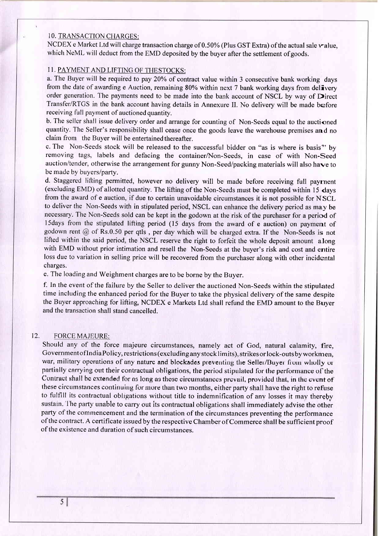#### <sup>1</sup>O. TRANSACTION CHARGES:

NCDEX e Market Ltd will charge transaction charge of 0.50% (Plus GST Extra) of the actual sale value, which NeML will deduct from the EMD deposited by the buyer after the settlement of goods.

#### <sup>1</sup>1. PAYMENT AND LIFTING OF THESTOCKS:

a. The Buyer will be required to pay 20% of contract value within 3 consecutive bank working days from the date of awarding e Auction, remaining 80% within next 7 bank working days from delivery order generation. The payments need to be made into the bank account of NSCL by way of Direct Transfer/RTGS in the bank account having details in Annexure II. No delivery will be made before receiving full payment of auctioned quantity.

b. The seller shall issue delivery order and arrange for counting of Non-Seeds equal to the auctioned quantity. The Seller's responsibility shall cease once the goods leave the warehouse premises and no claim from the Buyer will be entertained thereafter.

c. The Non-Seeds stock will be released to the successful bidder on "as is where is basis'' by removing tags, labels and defacing the container/Non-Seeds, in case of with Non-Seed auction/tender, otherwise the arrangement for gunny Non-Seed/packing materials will also hawe to be made by buyers/party.

d. Staggered lifting permitted, however no delivery will be made before receiving full payrnent (excluding EMD) of allotted quantity. The lifting of the Non-Seeds must be completed within 15 days from the award of e auction, if due to certain unavoidable circumstances it is not possible for NSCL to deliver the Non-Seeds with in stipulated period, NSCL can enhance the delivery period as may be necessary. The Non-Seeds sold can be kept in the godown at the risk of the purchaser for a period of l5days from the stipulated lifting period (15 days from the award of e auction) on payment of godown rent @ of Rs.0.50 per qtls , per day which will be charged extra. If the Non-Seeds is not lifted within the said period, the NSCL reserye the right to forfeit the whole deposit amount along with EMD without prior intimation and resell the Non-Seeds at the buyer's risk and cost and entire loss due to variation in selling price will be recovered from the purchaser along with other incidental charges.

e. The loading and Weighment charges are to be borne by the Buyer.

f. In the event of the failure by the Seller to deliver the auctioned Non-Seeds within the stipulated time including the enhanced period for the Buyer to take the physical delivery of the same despite the Buyer approaching for lifting, NCDEX e Markets Ltd shall refund the EMD amount to the Buyer and the transaction shall stand cancelled.

#### 12. FORCE MAJEURE:

Should any of the force majeure circumstances, namely act of God, natural calamity, fire, GovernmentoflndiaPolicy, restrictions (excluding anystocklimits), strikes orlock-outsbyworkrnen, war, military operations of any nature and blockades preventing the Seller/Buyer from wholly ur partially carrying out their contractual obligations, the period stipulated for the performance of the Contract shall be extended for as long as these circumstances prevail, provided that, in the event of these circumstances continuing for more than two months, either party shall have the right to refuse to fulfill its contractual obligations without title to indemnification of any losses it may thereby sustain. I he party unable to carry out its contractual obligations shall immediately advise the other party of the commencement and the termination of the circumstances preventing the performance ofthe contract. A certificate issued by the respective Chamber of Commerce shall be sufficient proof of the existence and duration of such circumstances.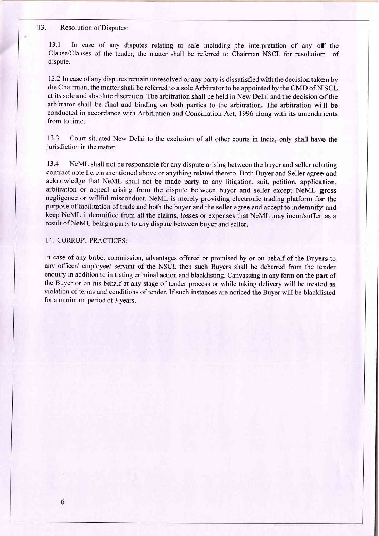#### '13. Resolution of Disputes:

13.1 In case of any disputes relating to sale including the interpretation of any off the Clause/Clauses of the tender. the matter shall be referred to Chairman NSCL for resolution of dispute.

13.2 ln case of any disputes remain unresolved or any party is dissatisfied with the decision taken by the Chairman, the matter shall be referred to a sole Arbitrator to be appointed by the CMD of NSCL at its sole and absolute discretion. The arbitration shall be held in New Delhi and the decision of the arbitrator shall be final and binding on both parties to the arbitration. The arbitration will be conducted in accordance with Arbitration and Conciliation Act, 1996 along with its amendrnents from to time.

13.3 Court situated New Delhi to the exclusion of all other courts in India, only shall have the jurisdiction in the matter.

13.4 NeML shall not be responsible for any dispute arising between the buyer and seller relating contract note herein mentioned above or anything related thereto. Both Buyer and Seller agree and acknowledge that NeML shall not be made party to any litigation, suit, petition, application, arbitration or appeal arising from the dispute between buyer and seller except NeML gross negligence or willful misconduct. NeML is merely providing electronic trading platform for the purpose of facilitation of trade and both the buyer and the seller agree and accept to indemnify and keep NeML indemnified from all the claims, losses or expenses that NeML may incur/suffer as <sup>a</sup> result of NeML being a party to any dispute between buyer and seller.

### 14. CORRUPT PRACTICES:

In case of any bribe, commission, advantages offered or promised by or on behalf of the Buyers to any officer/ employee/ servant of the NSCL then such Buyers shall be debarred from the tender enquiry in addition to initiating criminal action and blacklisting. Canvassing in any form on the part of the Buyer or on his behalf at any stage of tender process or while taking delivery will be treated as violation of terms and conditions of tender. If such instances are noticed the Buver will be blacklisted for a minimum period of 3 years.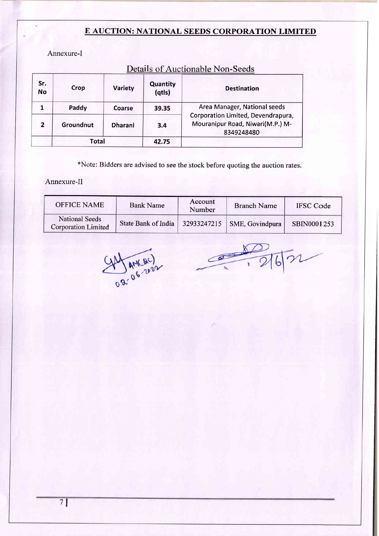## E AUCTION: NATIONAL SEEDS CORPORATION LIMITED

Annexure-l

| Sr.<br><b>No</b> | Crop      | Variety        | Quantity<br>(qtls) | <b>Destination</b>                                                                   |  |
|------------------|-----------|----------------|--------------------|--------------------------------------------------------------------------------------|--|
|                  | Paddy     | Coarse         | 39.35              | Area Manager, National seeds                                                         |  |
| $\overline{2}$   | Groundnut | <b>Dharani</b> | 3.4                | Corporation Limited, Devendrapura,<br>Mouranipur Road, Niwari(M.P.) M-<br>8349248480 |  |
|                  | Total     |                | 42.75              |                                                                                      |  |

# Details of Auctionable Non-Seeds

xNote: Bidders are advised to see the stock before quoting the auction rates.

Annexure-II

| <b>OFFICE NAME</b>                           | <b>Bank Name</b>    | Account<br>Number | <b>Branch Name</b>            | <b>IFSC</b> Code |
|----------------------------------------------|---------------------|-------------------|-------------------------------|------------------|
| National Seeds<br><b>Corporation Limited</b> | State Bank of India |                   | 32933247215   SME, Govindpura | SBIN0001253      |

Da OG 2022

 $rac{2}{216}$  $\circ$